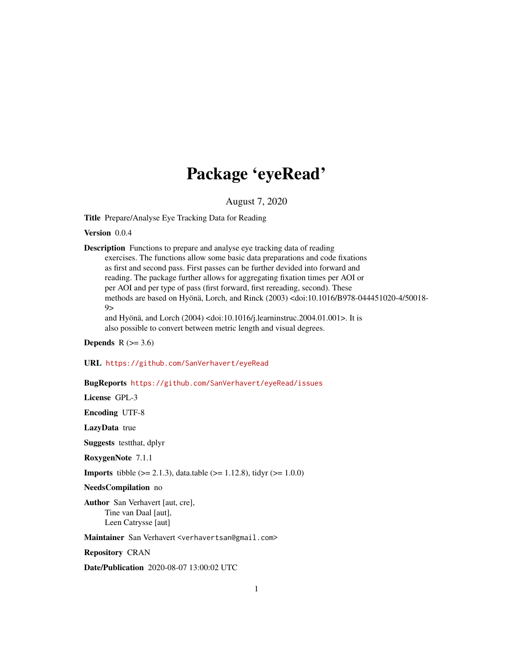## Package 'eyeRead'

August 7, 2020

<span id="page-0-0"></span>Title Prepare/Analyse Eye Tracking Data for Reading

Version 0.0.4

Description Functions to prepare and analyse eye tracking data of reading exercises. The functions allow some basic data preparations and code fixations as first and second pass. First passes can be further devided into forward and reading. The package further allows for aggregating fixation times per AOI or per AOI and per type of pass (first forward, first rereading, second). These methods are based on Hyönä, Lorch, and Rinck (2003) <doi:10.1016/B978-044451020-4/50018-  $9$ and Hyönä, and Lorch (2004) <doi:10.1016/j.learninstruc.2004.01.001>. It is also possible to convert between metric length and visual degrees.

Depends  $R$  ( $> = 3.6$ )

#### URL <https://github.com/SanVerhavert/eyeRead>

#### BugReports <https://github.com/SanVerhavert/eyeRead/issues>

License GPL-3

Encoding UTF-8

LazyData true

Suggests testthat, dplyr

RoxygenNote 7.1.1

**Imports** tibble ( $> = 2.1.3$ ), data.table ( $> = 1.12.8$ ), tidyr ( $> = 1.0.0$ )

NeedsCompilation no

Author San Verhavert [aut, cre], Tine van Daal [aut], Leen Catrysse [aut]

Maintainer San Verhavert <verhavertsan@gmail.com>

Repository CRAN

Date/Publication 2020-08-07 13:00:02 UTC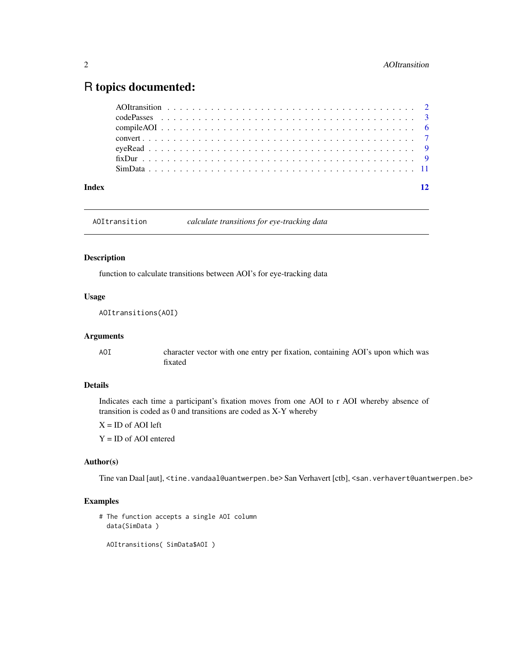### <span id="page-1-0"></span>R topics documented:

| Index |  |  |  |  |  |  |  |  |  |  |  |  |  |  |  |  |  | 12 |
|-------|--|--|--|--|--|--|--|--|--|--|--|--|--|--|--|--|--|----|
|       |  |  |  |  |  |  |  |  |  |  |  |  |  |  |  |  |  |    |
|       |  |  |  |  |  |  |  |  |  |  |  |  |  |  |  |  |  |    |
|       |  |  |  |  |  |  |  |  |  |  |  |  |  |  |  |  |  |    |
|       |  |  |  |  |  |  |  |  |  |  |  |  |  |  |  |  |  |    |
|       |  |  |  |  |  |  |  |  |  |  |  |  |  |  |  |  |  |    |
|       |  |  |  |  |  |  |  |  |  |  |  |  |  |  |  |  |  |    |
|       |  |  |  |  |  |  |  |  |  |  |  |  |  |  |  |  |  |    |

AOItransition *calculate transitions for eye-tracking data*

#### <span id="page-1-1"></span>Description

function to calculate transitions between AOI's for eye-tracking data

#### Usage

AOItransitions(AOI)

#### Arguments

AOI character vector with one entry per fixation, containing AOI's upon which was fixated

#### Details

Indicates each time a participant's fixation moves from one AOI to r AOI whereby absence of transition is coded as 0 and transitions are coded as X-Y whereby

 $X = ID$  of AOI left

Y = ID of AOI entered

#### Author(s)

Tine van Daal [aut], <tine.vandaal@uantwerpen.be> San Verhavert [ctb], <san.verhavert@uantwerpen.be>

#### Examples

```
# The function accepts a single AOI column
 data(SimData )
```
AOItransitions( SimData\$AOI )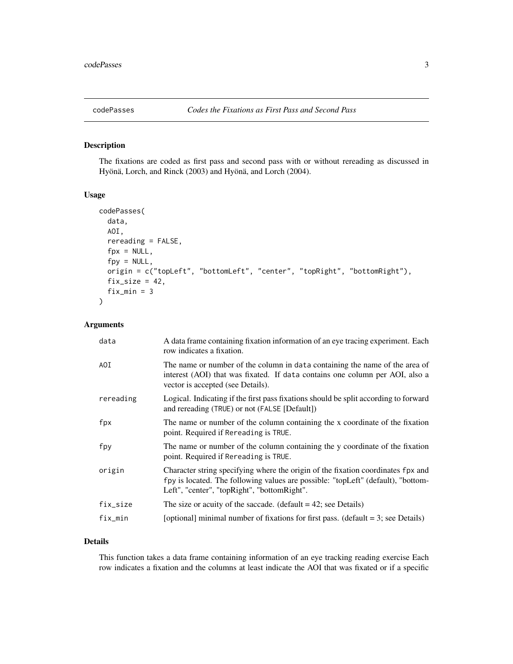<span id="page-2-1"></span><span id="page-2-0"></span>

#### Description

The fixations are coded as first pass and second pass with or without rereading as discussed in Hyönä, Lorch, and Rinck (2003) and Hyönä, and Lorch (2004).

#### Usage

```
codePasses(
  data,
  AOI,
  rereading = FALSE,
  fpx = NULL,fpy = NULL,origin = c("topLeft", "bottomLeft", "center", "topRight", "bottomRight"),
  fix\_size = 42,fix\_min = 3)
```
#### Arguments

| data      | A data frame containing fixation information of an eye tracing experiment. Each<br>row indicates a fixation.                                                                                                        |
|-----------|---------------------------------------------------------------------------------------------------------------------------------------------------------------------------------------------------------------------|
| AOI       | The name or number of the column in data containing the name of the area of<br>interest (AOI) that was fixated. If data contains one column per AOI, also a<br>vector is accepted (see Details).                    |
| rereading | Logical. Indicating if the first pass fixations should be split according to forward<br>and rereading (TRUE) or not (FALSE [Default])                                                                               |
| fpx       | The name or number of the column containing the x coordinate of the fixation<br>point. Required if Rereading is TRUE.                                                                                               |
| fpy       | The name or number of the column containing the y coordinate of the fixation<br>point. Required if Rereading is TRUE.                                                                                               |
| origin    | Character string specifying where the origin of the fixation coordinates fpx and<br>fpy is located. The following values are possible: "topLeft" (default), "bottom-<br>Left", "center", "topRight", "bottomRight". |
| fix_size  | The size or acuity of the saccade. (default $= 42$ ; see Details)                                                                                                                                                   |
| fix_min   | [optional] minimal number of fixations for first pass. (default $=$ 3; see Details)                                                                                                                                 |

#### Details

This function takes a data frame containing information of an eye tracking reading exercise Each row indicates a fixation and the columns at least indicate the AOI that was fixated or if a specific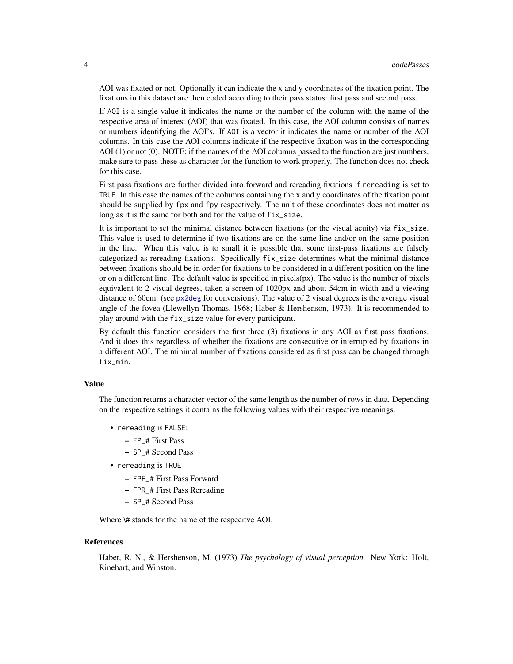<span id="page-3-0"></span>AOI was fixated or not. Optionally it can indicate the x and y coordinates of the fixation point. The fixations in this dataset are then coded according to their pass status: first pass and second pass.

If AOI is a single value it indicates the name or the number of the column with the name of the respective area of interest (AOI) that was fixated. In this case, the AOI column consists of names or numbers identifying the AOI's. If AOI is a vector it indicates the name or number of the AOI columns. In this case the AOI columns indicate if the respective fixation was in the corresponding AOI (1) or not (0). NOTE: if the names of the AOI columns passed to the function are just numbers, make sure to pass these as character for the function to work properly. The function does not check for this case.

First pass fixations are further divided into forward and rereading fixations if rereading is set to TRUE. In this case the names of the columns containing the x and y coordinates of the fixation point should be supplied by fpx and fpy respectively. The unit of these coordinates does not matter as long as it is the same for both and for the value of  $fix\_size$ .

It is important to set the minimal distance between fixations (or the visual acuity) via fix\_size. This value is used to determine if two fixations are on the same line and/or on the same position in the line. When this value is to small it is possible that some first-pass fixations are falsely categorized as rereading fixations. Specifically fix\_size determines what the minimal distance between fixations should be in order for fixations to be considered in a different position on the line or on a different line. The default value is specified in  $pixels(px)$ . The value is the number of pixels equivalent to 2 visual degrees, taken a screen of 1020px and about 54cm in width and a viewing distance of 60cm. (see [px2deg](#page-6-1) for conversions). The value of 2 visual degrees is the average visual angle of the fovea (Llewellyn-Thomas, 1968; Haber & Hershenson, 1973). It is recommended to play around with the fix\_size value for every participant.

By default this function considers the first three (3) fixations in any AOI as first pass fixations. And it does this regardless of whether the fixations are consecutive or interrupted by fixations in a different AOI. The minimal number of fixations considered as first pass can be changed through fix min.

#### Value

The function returns a character vector of the same length as the number of rows in data. Depending on the respective settings it contains the following values with their respective meanings.

- rereading is FALSE:
	- FP\_# First Pass
	- SP\_# Second Pass
- rereading is TRUE
	- FPF\_# First Pass Forward
	- FPR\_# First Pass Rereading
	- SP\_# Second Pass

Where \# stands for the name of the respecitve AOI.

#### References

Haber, R. N., & Hershenson, M. (1973) *The psychology of visual perception.* New York: Holt, Rinehart, and Winston.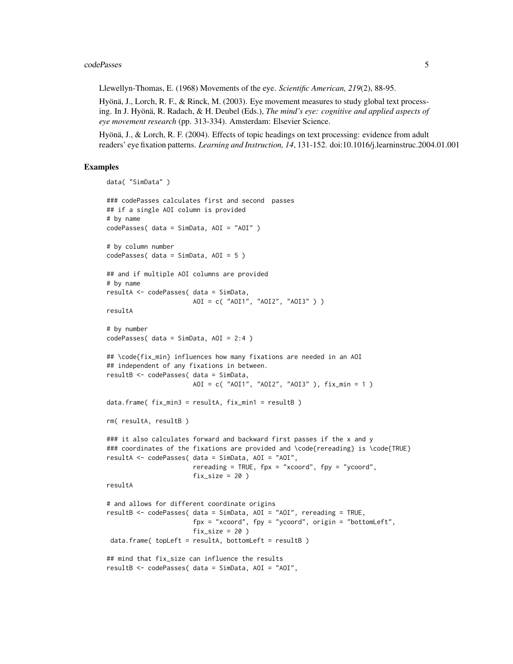#### codePasses 5

Llewellyn-Thomas, E. (1968) Movements of the eye. *Scientific American, 219*(2), 88-95.

Hyönä, J., Lorch, R. F., & Rinck, M. (2003). Eye movement measures to study global text processing. In J. Hyönä, R. Radach, & H. Deubel (Eds.), *The mind's eye: cognitive and applied aspects of eye movement research* (pp. 313-334). Amsterdam: Elsevier Science.

Hyönä, J., & Lorch, R. F. (2004). Effects of topic headings on text processing: evidence from adult readers' eye fixation patterns. *Learning and Instruction, 14*, 131-152. doi:10.1016/j.learninstruc.2004.01.001

#### Examples

```
data( "SimData" )
### codePasses calculates first and second passes
## if a single AOI column is provided
# by name
codePasses( data = SimData, AOI = "AOI" )
# by column number
codePasses( data = SimData, AOI = 5 )
## and if multiple AOI columns are provided
# by name
resultA <- codePasses( data = SimData,
                      AOI = c( "AOI1", "AOI2", "AOI3" ) )
resultA
# by number
codePasses( data = SimData, AOI = 2:4 )
## \code{fix_min} influences how many fixations are needed in an AOI
## independent of any fixations in between.
resultB <- codePasses( data = SimData,
                      AOI = c( "AOI1", "AOI2", "AOI3" ), fix_min = 1 )
data.frame( fix_min3 = resultA, fix_min1 = resultB )
rm( resultA, resultB )
### it also calculates forward and backward first passes if the x and y
### coordinates of the fixations are provided and \code{rereading} is \code{TRUE}
resultA <- codePasses( data = SimData, AOI = "AOI",
                       rereading = TRUE, fpx = "xcoord", fpy = "ycoord",fix\_size = 20)
resultA
# and allows for different coordinate origins
resultB <- codePasses( data = SimData, AOI = "AOI", rereading = TRUE,
                       fpx = "xcoord", fpy = "ycoord", origin = "bottomLeft",
                       fix\_size = 20data.frame( topLeft = resultA, bottomLeft = resultB )
## mind that fix_size can influence the results
resultB <- codePasses( data = SimData, AOI = "AOI",
```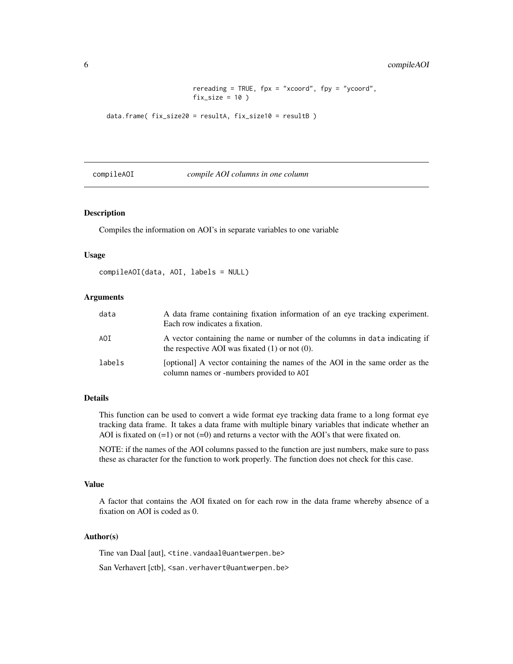#### <span id="page-5-0"></span>6 compileAOI

```
rereading = TRUE, fpx = "xcoord", fpy = "ycoord",fix\_size = 10)
```

```
data.frame( fix_size20 = resultA, fix_size10 = resultB )
```
<span id="page-5-1"></span>

#### compileAOI *compile AOI columns in one column*

#### Description

Compiles the information on AOI's in separate variables to one variable

#### Usage

```
compileAOI(data, AOI, labels = NULL)
```
#### Arguments

| data   | A data frame containing fixation information of an eye tracking experiment.<br>Each row indicates a fixation.                      |
|--------|------------------------------------------------------------------------------------------------------------------------------------|
| AOI    | A vector containing the name or number of the columns in data indicating if<br>the respective AOI was fixated $(1)$ or not $(0)$ . |
| labels | [optional] A vector containing the names of the AOI in the same order as the<br>column names or -numbers provided to AOI           |

#### Details

This function can be used to convert a wide format eye tracking data frame to a long format eye tracking data frame. It takes a data frame with multiple binary variables that indicate whether an AOI is fixated on  $(=1)$  or not  $(=0)$  and returns a vector with the AOI's that were fixated on.

NOTE: if the names of the AOI columns passed to the function are just numbers, make sure to pass these as character for the function to work properly. The function does not check for this case.

#### Value

A factor that contains the AOI fixated on for each row in the data frame whereby absence of a fixation on AOI is coded as 0.

#### Author(s)

Tine van Daal [aut], <tine.vandaal@uantwerpen.be>

San Verhavert [ctb], <san.verhavert@uantwerpen.be>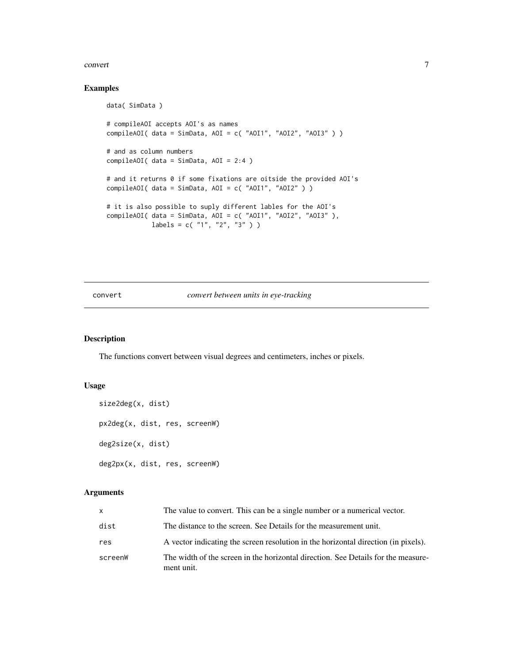#### <span id="page-6-0"></span>convert 2008 and 2008 and 2008 and 2008 and 2008 and 2008 and 2008 and 2008 and 2008 and 2008 and 2008 and 200

#### Examples

```
data( SimData )
# compileAOI accepts AOI's as names
compileAOI( data = SimData, AOI = c( "AOI1", "AOI2", "AOI3" ) )
# and as column numbers
compileAOI( data = SimData, AOI = 2:4 )
# and it returns 0 if some fixations are oitside the provided AOI's
compileAOI( data = SimData, AOI = c( "AOI1", "AOI2" ) )
# it is also possible to suply different lables for the AOI's
compileAOI( data = SimData, AOI = c( "AOI1", "AOI2", "AOI3" ),
           labels = c( "1", "2", "3" ) )
```
#### <span id="page-6-2"></span>convert *convert between units in eye-tracking*

#### <span id="page-6-1"></span>Description

The functions convert between visual degrees and centimeters, inches or pixels.

#### Usage

```
size2deg(x, dist)
px2deg(x, dist, res, screenW)
deg2size(x, dist)
deg2px(x, dist, res, screenW)
```
#### Arguments

| x.      | The value to convert. This can be a single number or a numerical vector.                        |
|---------|-------------------------------------------------------------------------------------------------|
| dist    | The distance to the screen. See Details for the measurement unit.                               |
| res     | A vector indicating the screen resolution in the horizontal direction (in pixels).              |
| screenW | The width of the screen in the horizontal direction. See Details for the measure-<br>ment unit. |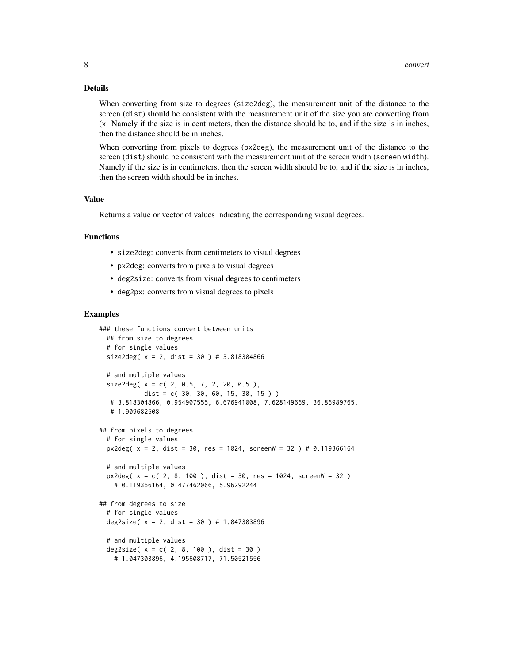#### Details

When converting from size to degrees (size2deg), the measurement unit of the distance to the screen (dist) should be consistent with the measurement unit of the size you are converting from (x. Namely if the size is in centimeters, then the distance should be to, and if the size is in inches, then the distance should be in inches.

When converting from pixels to degrees (px2deg), the measurement unit of the distance to the screen (dist) should be consistent with the measurement unit of the screen width (screen width). Namely if the size is in centimeters, then the screen width should be to, and if the size is in inches, then the screen width should be in inches.

#### Value

Returns a value or vector of values indicating the corresponding visual degrees.

#### Functions

- size2deg: converts from centimeters to visual degrees
- px2deg: converts from pixels to visual degrees
- deg2size: converts from visual degrees to centimeters
- deg2px: converts from visual degrees to pixels

#### Examples

```
### these functions convert between units
 ## from size to degrees
 # for single values
 size2deg(x = 2, dist = 30) # 3.818304866
 # and multiple values
 size2deg(x = c(2, 0.5, 7, 2, 20, 0.5),
           dist = c(30, 30, 60, 15, 30, 15))
  # 3.818304866, 0.954907555, 6.676941008, 7.628149669, 36.86989765,
  # 1.909682508
## from pixels to degrees
 # for single values
 px2deg(x = 2, dist = 30, res = 1024, screenW = 32) # 0.119366164# and multiple values
 px2deg( x = c( 2, 8, 100 ), dist = 30, res = 1024, screenW = 32)
   # 0.119366164, 0.477462066, 5.96292244
## from degrees to size
 # for single values
 deg2size(x = 2, dist = 30) # 1.047303896
 # and multiple values
 deg2size(x = c(2, 8, 100), dist = 30)
   # 1.047303896, 4.195608717, 71.50521556
```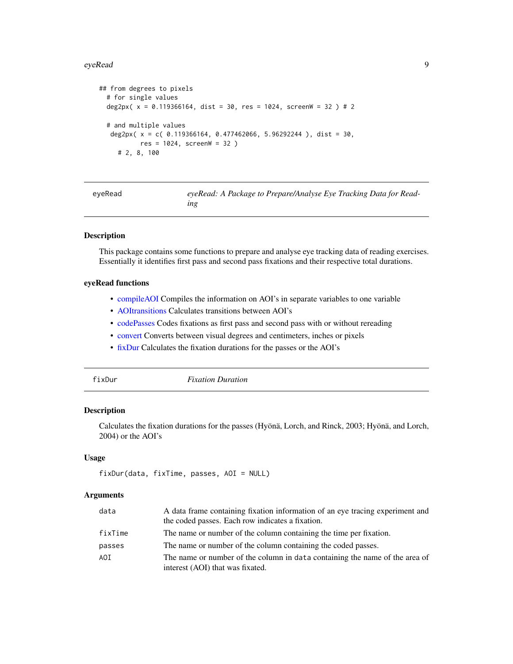<span id="page-8-0"></span>eyeRead 9

```
## from degrees to pixels
 # for single values
 deg2px( x = 0.119366164, dist = 30, res = 1024, screenW = 32 ) # 2
 # and multiple values
  deg2px( x = c( 0.119366164, 0.477462066, 5.96292244 ), dist = 30,
          res = 1024, screenW = 32 )
     # 2, 8, 100
```

| eyeRead | eyeRead: A Package to Prepare/Analyse Eye Tracking Data for Read- |
|---------|-------------------------------------------------------------------|
|         | ıng                                                               |

#### Description

This package contains some functions to prepare and analyse eye tracking data of reading exercises. Essentially it identifies first pass and second pass fixations and their respective total durations.

#### eyeRead functions

- [compileAOI](#page-5-1) Compiles the information on AOI's in separate variables to one variable
- [AOItransitions](#page-1-1) Calculates transitions between AOI's
- [codePasses](#page-2-1) Codes fixations as first pass and second pass with or without rereading
- [convert](#page-6-2) Converts between visual degrees and centimeters, inches or pixels
- [fixDur](#page-8-1) Calculates the fixation durations for the passes or the AOI's
- 

<span id="page-8-1"></span>fixDur *Fixation Duration*

#### Description

Calculates the fixation durations for the passes (Hyönä, Lorch, and Rinck, 2003; Hyönä, and Lorch, 2004) or the AOI's

#### Usage

```
fixDur(data, fixTime, passes, AOI = NULL)
```
#### Arguments

| data    | A data frame containing fixation information of an eye tracing experiment and |
|---------|-------------------------------------------------------------------------------|
|         | the coded passes. Each row indicates a fixation.                              |
| fixTime | The name or number of the column containing the time per fixation.            |
| passes  | The name or number of the column containing the coded passes.                 |
| AOI     | The name or number of the column in data containing the name of the area of   |
|         | interest (AOI) that was fixated.                                              |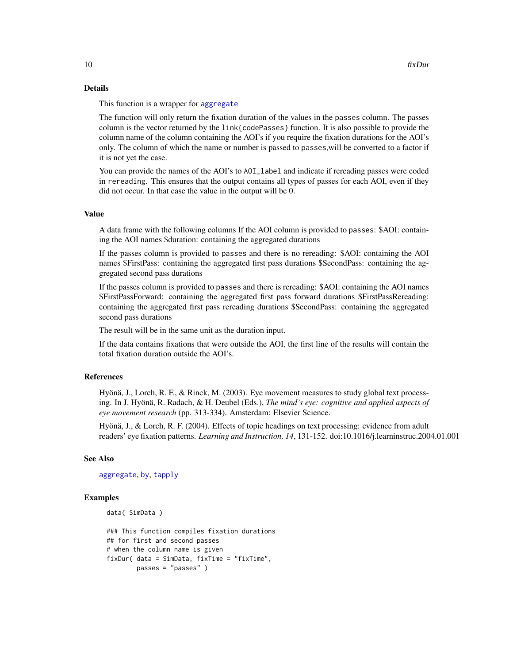#### <span id="page-9-0"></span>Details

This function is a wrapper for [aggregate](#page-0-0)

The function will only return the fixation duration of the values in the passes column. The passes column is the vector returned by the link{codePasses} function. It is also possible to provide the column name of the column containing the AOI's if you require the fixation durations for the AOI's only. The column of which the name or number is passed to passes,will be converted to a factor if it is not yet the case.

You can provide the names of the AOI's to AOI\_label and indicate if rereading passes were coded in rereading. This ensures that the output contains all types of passes for each AOI, even if they did not occur. In that case the value in the output will be 0.

#### Value

A data frame with the following columns If the AOI column is provided to passes: \$AOI: containing the AOI names \$duration: containing the aggregated durations

If the passes column is provided to passes and there is no rereading: \$AOI: containing the AOI names \$FirstPass: containing the aggregated first pass durations \$SecondPass: containing the aggregated second pass durations

If the passes column is provided to passes and there is rereading: \$AOI: containing the AOI names \$FirstPassForward: containing the aggregated first pass forward durations \$FirstPassRereading: containing the aggregated first pass rereading durations \$SecondPass: containing the aggregated second pass durations

The result will be in the same unit as the duration input.

If the data contains fixations that were outside the AOI, the first line of the results will contain the total fixation duration outside the AOI's.

#### References

Hyönä, J., Lorch, R. F., & Rinck, M. (2003). Eye movement measures to study global text processing. In J. Hyönä, R. Radach, & H. Deubel (Eds.), *The mind's eye: cognitive and applied aspects of eye movement research* (pp. 313-334). Amsterdam: Elsevier Science.

Hyönä, J., & Lorch, R. F. (2004). Effects of topic headings on text processing: evidence from adult readers' eye fixation patterns. *Learning and Instruction, 14*, 131-152. doi:10.1016/j.learninstruc.2004.01.001

#### See Also

[aggregate](#page-0-0), [by](#page-0-0), [tapply](#page-0-0)

#### Examples

```
data( SimData )
```

```
### This function compiles fixation durations
## for first and second passes
# when the column name is given
fixDur( data = SimData, fixTime = "fixTime",
       passes = "passes" )
```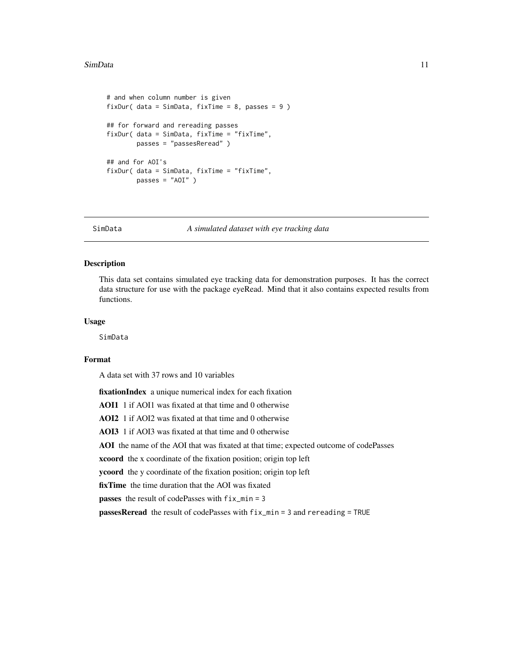#### <span id="page-10-0"></span>SimData 11

```
# and when column number is given
fixDur( data = SimData, fixTime = 8, passes = 9 )
## for forward and rereading passes
fixDur( data = SimData, fixTime = "fixTime",
        passes = "passesReread" )
## and for AOI's
fixDur( data = SimData, fixTime = "fixTime",
       passes = "AOI" )
```
SimData *A simulated dataset with eye tracking data*

#### Description

This data set contains simulated eye tracking data for demonstration purposes. It has the correct data structure for use with the package eyeRead. Mind that it also contains expected results from functions.

#### Usage

SimData

#### Format

A data set with 37 rows and 10 variables

fixationIndex a unique numerical index for each fixation AOI1 1 if AOI1 was fixated at that time and 0 otherwise AOI2 1 if AOI2 was fixated at that time and 0 otherwise AOI3 1 if AOI3 was fixated at that time and 0 otherwise AOI the name of the AOI that was fixated at that time; expected outcome of codePasses xcoord the x coordinate of the fixation position; origin top left ycoord the y coordinate of the fixation position; origin top left fixTime the time duration that the AOI was fixated passes the result of codePasses with fix\_min = 3 passesReread the result of codePasses with fix\_min = 3 and rereading = TRUE